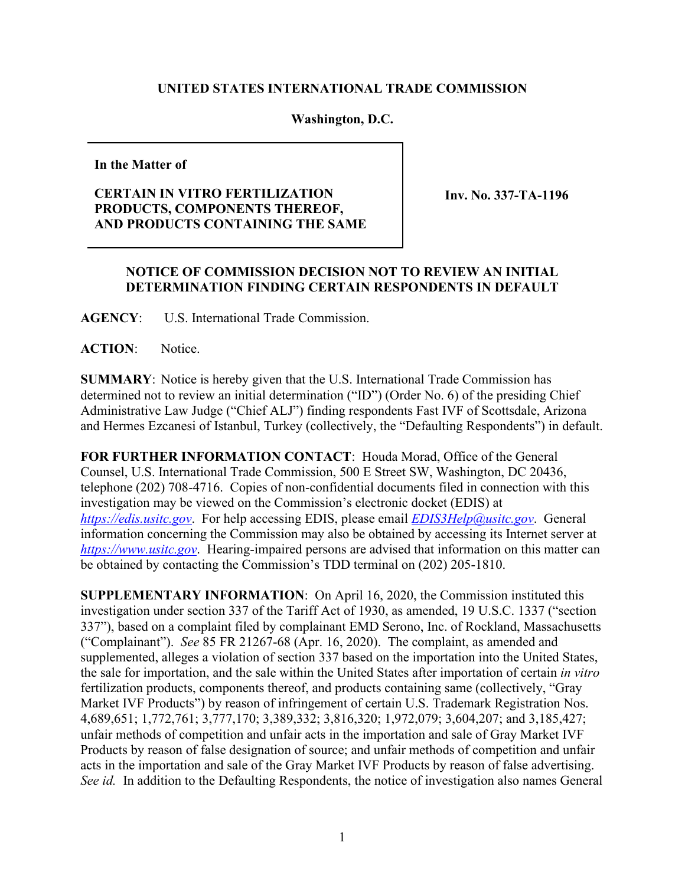## **UNITED STATES INTERNATIONAL TRADE COMMISSION**

## **Washington, D.C.**

**In the Matter of**

## **CERTAIN IN VITRO FERTILIZATION PRODUCTS, COMPONENTS THEREOF, AND PRODUCTS CONTAINING THE SAME**

**Inv. No. 337-TA-1196**

## **NOTICE OF COMMISSION DECISION NOT TO REVIEW AN INITIAL DETERMINATION FINDING CERTAIN RESPONDENTS IN DEFAULT**

**AGENCY**: U.S. International Trade Commission.

ACTION: Notice.

**SUMMARY**: Notice is hereby given that the U.S. International Trade Commission has determined not to review an initial determination ("ID") (Order No. 6) of the presiding Chief Administrative Law Judge ("Chief ALJ") finding respondents Fast IVF of Scottsdale, Arizona and Hermes Ezcanesi of Istanbul, Turkey (collectively, the "Defaulting Respondents") in default.

**FOR FURTHER INFORMATION CONTACT**: Houda Morad, Office of the General Counsel, U.S. International Trade Commission, 500 E Street SW, Washington, DC 20436, telephone (202) 708-4716. Copies of non-confidential documents filed in connection with this investigation may be viewed on the Commission's electronic docket (EDIS) at *[https://edis.usitc.gov](https://edis.usitc.gov/)*. For help accessing EDIS, please email *[EDIS3Help@usitc.gov](mailto:EDIS3Help@usitc.gov)*. General information concerning the Commission may also be obtained by accessing its Internet server at *[https://www.usitc.gov](https://www.usitc.gov/)*. Hearing-impaired persons are advised that information on this matter can be obtained by contacting the Commission's TDD terminal on (202) 205-1810.

**SUPPLEMENTARY INFORMATION**: On April 16, 2020, the Commission instituted this investigation under section 337 of the Tariff Act of 1930, as amended, 19 U.S.C. 1337 ("section 337"), based on a complaint filed by complainant EMD Serono, Inc. of Rockland, Massachusetts ("Complainant"). *See* 85 FR 21267-68 (Apr. 16, 2020). The complaint, as amended and supplemented, alleges a violation of section 337 based on the importation into the United States, the sale for importation, and the sale within the United States after importation of certain *in vitro* fertilization products, components thereof, and products containing same (collectively, "Gray Market IVF Products") by reason of infringement of certain U.S. Trademark Registration Nos. 4,689,651; 1,772,761; 3,777,170; 3,389,332; 3,816,320; 1,972,079; 3,604,207; and 3,185,427; unfair methods of competition and unfair acts in the importation and sale of Gray Market IVF Products by reason of false designation of source; and unfair methods of competition and unfair acts in the importation and sale of the Gray Market IVF Products by reason of false advertising. *See id.* In addition to the Defaulting Respondents, the notice of investigation also names General